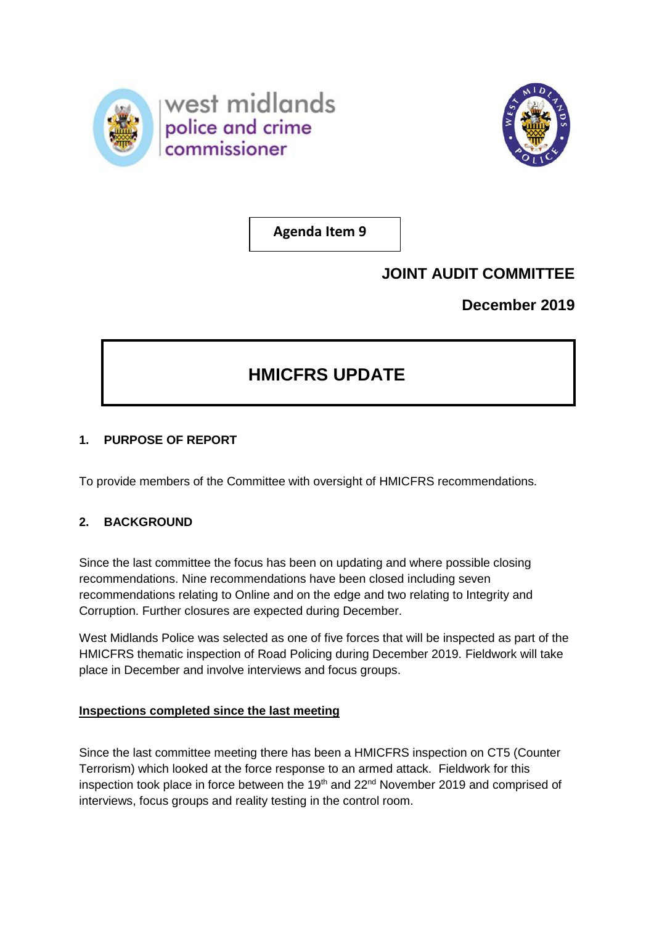



**Agenda Item 9**

## **JOINT AUDIT COMMITTEE**

**December 2019**

# **HMICFRS UPDATE**

## **1. PURPOSE OF REPORT**

To provide members of the Committee with oversight of HMICFRS recommendations.

## **2. BACKGROUND**

Since the last committee the focus has been on updating and where possible closing recommendations. Nine recommendations have been closed including seven recommendations relating to Online and on the edge and two relating to Integrity and Corruption. Further closures are expected during December.

West Midlands Police was selected as one of five forces that will be inspected as part of the HMICFRS thematic inspection of Road Policing during December 2019. Fieldwork will take place in December and involve interviews and focus groups.

#### **Inspections completed since the last meeting**

Since the last committee meeting there has been a HMICFRS inspection on CT5 (Counter Terrorism) which looked at the force response to an armed attack. Fieldwork for this inspection took place in force between the  $19<sup>th</sup>$  and  $22<sup>nd</sup>$  November 2019 and comprised of interviews, focus groups and reality testing in the control room.